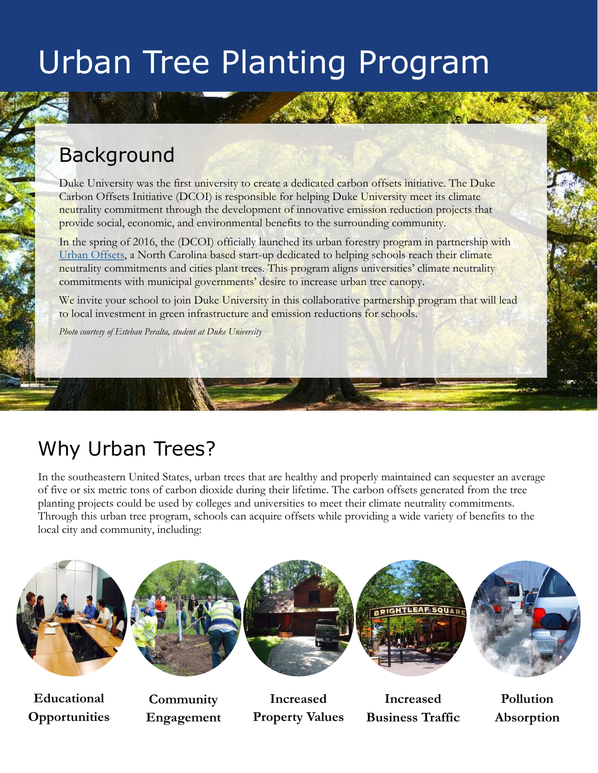#### Background

Duke University was the first university to create a dedicated carbon offsets initiative. The Duke Carbon Offsets Initiative (DCOI) is responsible for helping Duke University meet its climate neutrality commitment through the development of innovative emission reduction projects that provide social, economic, and environmental benefits to the surrounding community.

In the spring of 2016, the (DCOI) officially launched its urban forestry program in partnership with [Urban Offsets,](http://www.urbanoffsets.co/) a North Carolina based start-up dedicated to helping schools reach their climate neutrality commitments and cities plant trees. This program aligns universities' climate neutrality commitments with municipal governments' desire to increase urban tree canopy.

We invite your school to join Duke University in this collaborative partnership program that will lead to local investment in green infrastructure and emission reductions for schools.

*Photo courtesy of Esteban Peralta, student at Duke University*

## Why Urban Trees?

In the southeastern United States, urban trees that are healthy and properly maintained can sequester an average of five or six metric tons of carbon dioxide during their lifetime. The carbon offsets generated from the tree planting projects could be used by colleges and universities to meet their climate neutrality commitments. Through this urban tree program, schools can acquire offsets while providing a wide variety of benefits to the local city and community, including:





**Educational Opportunities**

**Community Engagement**







**Increased Business Traffic**



**Pollution Absorption**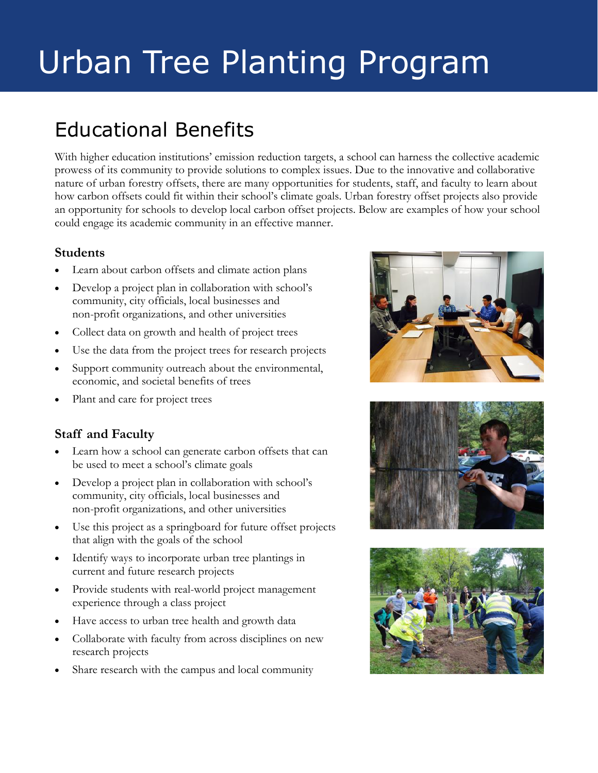## Educational Benefits

With higher education institutions' emission reduction targets, a school can harness the collective academic prowess of its community to provide solutions to complex issues. Due to the innovative and collaborative nature of urban forestry offsets, there are many opportunities for students, staff, and faculty to learn about how carbon offsets could fit within their school's climate goals. Urban forestry offset projects also provide an opportunity for schools to develop local carbon offset projects. Below are examples of how your school could engage its academic community in an effective manner.

#### **Students**

- Learn about carbon offsets and climate action plans
- Develop a project plan in collaboration with school's community, city officials, local businesses and non-profit organizations, and other universities
- Collect data on growth and health of project trees
- Use the data from the project trees for research projects
- Support community outreach about the environmental, economic, and societal benefits of trees
- Plant and care for project trees

#### **Staff and Faculty**

- Learn how a school can generate carbon offsets that can be used to meet a school's climate goals
- Develop a project plan in collaboration with school's community, city officials, local businesses and non-profit organizations, and other universities
- Use this project as a springboard for future offset projects that align with the goals of the school
- Identify ways to incorporate urban tree plantings in current and future research projects
- Provide students with real-world project management experience through a class project
- Have access to urban tree health and growth data
- Collaborate with faculty from across disciplines on new research projects
- Share research with the campus and local community





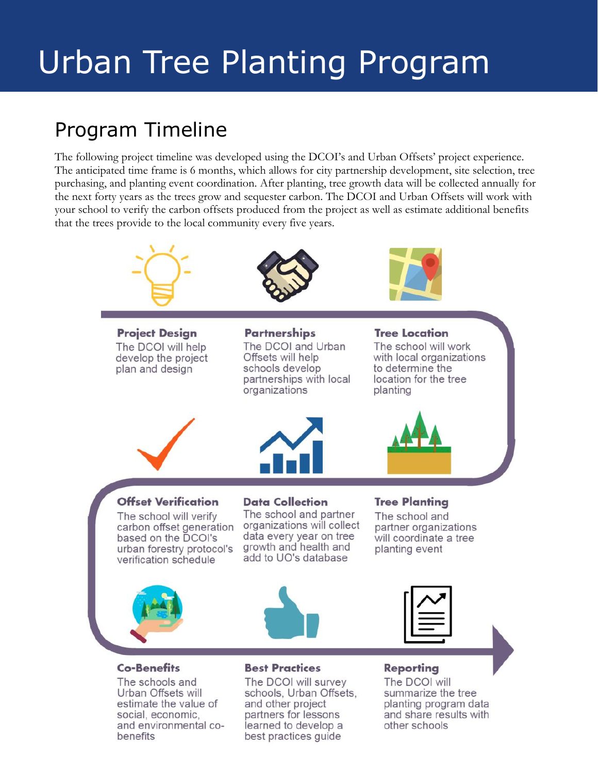## Program Timeline

The following project timeline was developed using the DCOI's and Urban Offsets' project experience. The anticipated time frame is 6 months, which allows for city partnership development, site selection, tree purchasing, and planting event coordination. After planting, tree growth data will be collected annually for the next forty years as the trees grow and sequester carbon. The DCOI and Urban Offsets will work with your school to verify the carbon offsets produced from the project as well as estimate additional benefits that the trees provide to the local community every five years.



#### Co-Benefits

The schools and Urban Offsets will estimate the value of social, economic, and environmental cobenefits

#### **Best Practices**

The DCOI will survey schools, Urban Offsets, and other project partners for lessons learned to develop a best practices guide

#### Reporting

The DCOI will summarize the tree planting program data and share results with other schools